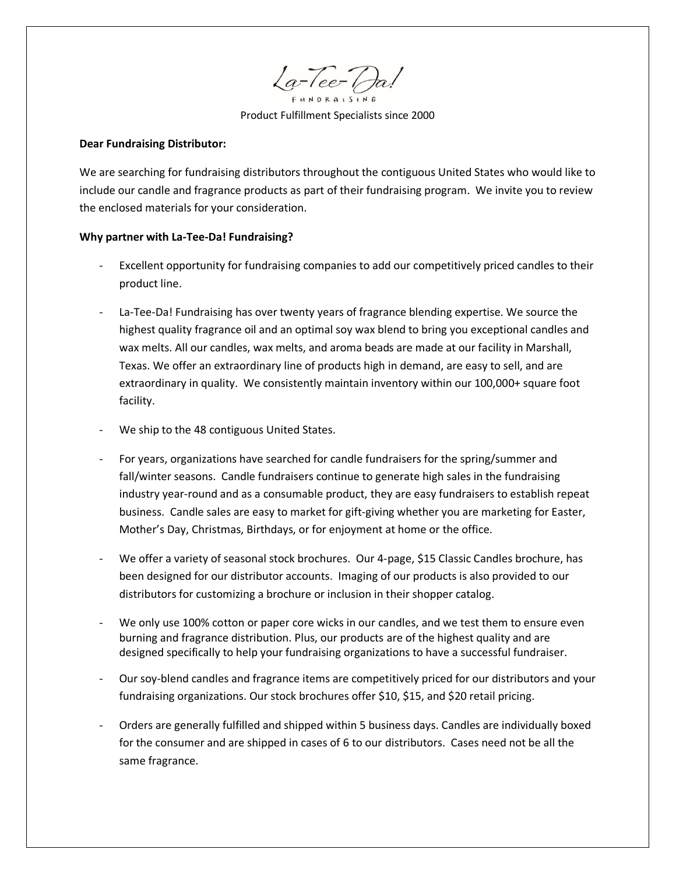$\sqrt{a^{-}/ee^{-}/a}$  $R A | S | N$ 

Product Fulfillment Specialists since 2000

#### **Dear Fundraising Distributor:**

We are searching for fundraising distributors throughout the contiguous United States who would like to include our candle and fragrance products as part of their fundraising program. We invite you to review the enclosed materials for your consideration.

### **Why partner with La-Tee-Da! Fundraising?**

- Excellent opportunity for fundraising companies to add our competitively priced candles to their product line.
- La-Tee-Da! Fundraising has over twenty years of fragrance blending expertise. We source the highest quality fragrance oil and an optimal soy wax blend to bring you exceptional candles and wax melts. All our candles, wax melts, and aroma beads are made at our facility in Marshall, Texas. We offer an extraordinary line of products high in demand, are easy to sell, and are extraordinary in quality. We consistently maintain inventory within our 100,000+ square foot facility.
- We ship to the 48 contiguous United States.
- For years, organizations have searched for candle fundraisers for the spring/summer and fall/winter seasons. Candle fundraisers continue to generate high sales in the fundraising industry year-round and as a consumable product, they are easy fundraisers to establish repeat business. Candle sales are easy to market for gift-giving whether you are marketing for Easter, Mother's Day, Christmas, Birthdays, or for enjoyment at home or the office.
- We offer a variety of seasonal stock brochures. Our 4-page, \$15 Classic Candles brochure, has been designed for our distributor accounts. Imaging of our products is also provided to our distributors for customizing a brochure or inclusion in their shopper catalog.
- We only use 100% cotton or paper core wicks in our candles, and we test them to ensure even burning and fragrance distribution. Plus, our products are of the highest quality and are designed specifically to help your fundraising organizations to have a successful fundraiser.
- Our soy-blend candles and fragrance items are competitively priced for our distributors and your fundraising organizations. Our stock brochures offer \$10, \$15, and \$20 retail pricing.
- Orders are generally fulfilled and shipped within 5 business days. Candles are individually boxed for the consumer and are shipped in cases of 6 to our distributors. Cases need not be all the same fragrance.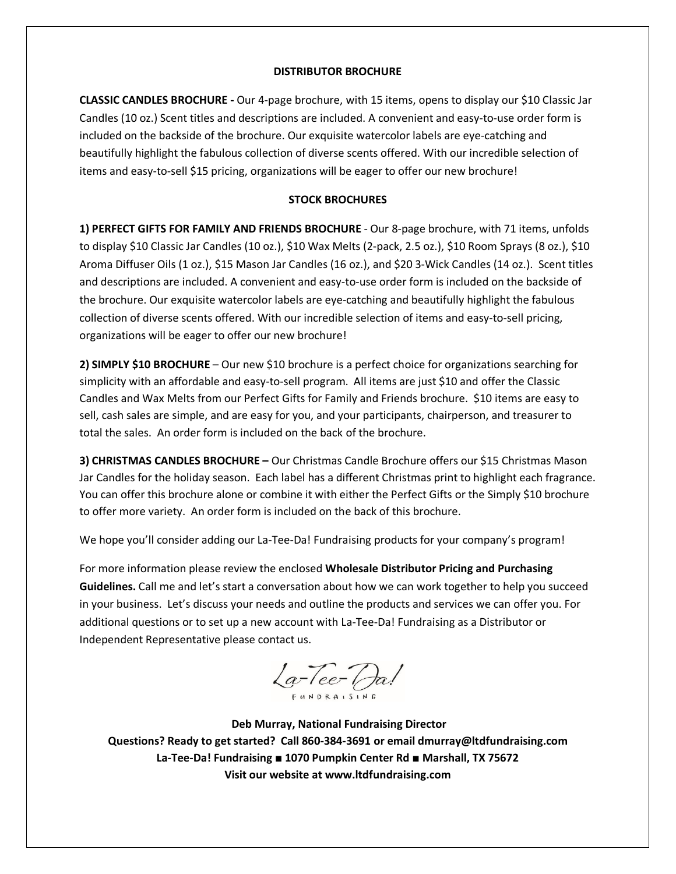### **DISTRIBUTOR BROCHURE**

**CLASSIC CANDLES BROCHURE -** Our 4-page brochure, with 15 items, opens to display our \$10 Classic Jar Candles (10 oz.) Scent titles and descriptions are included. A convenient and easy-to-use order form is included on the backside of the brochure. Our exquisite watercolor labels are eye-catching and beautifully highlight the fabulous collection of diverse scents offered. With our incredible selection of items and easy-to-sell \$15 pricing, organizations will be eager to offer our new brochure!

# **STOCK BROCHURES**

**1) PERFECT GIFTS FOR FAMILY AND FRIENDS BROCHURE** - Our 8-page brochure, with 71 items, unfolds to display \$10 Classic Jar Candles (10 oz.), \$10 Wax Melts (2-pack, 2.5 oz.), \$10 Room Sprays (8 oz.), \$10 Aroma Diffuser Oils (1 oz.), \$15 Mason Jar Candles (16 oz.), and \$20 3-Wick Candles (14 oz.). Scent titles and descriptions are included. A convenient and easy-to-use order form is included on the backside of the brochure. Our exquisite watercolor labels are eye-catching and beautifully highlight the fabulous collection of diverse scents offered. With our incredible selection of items and easy-to-sell pricing, organizations will be eager to offer our new brochure!

**2) SIMPLY \$10 BROCHURE** – Our new \$10 brochure is a perfect choice for organizations searching for simplicity with an affordable and easy-to-sell program. All items are just \$10 and offer the Classic Candles and Wax Melts from our Perfect Gifts for Family and Friends brochure. \$10 items are easy to sell, cash sales are simple, and are easy for you, and your participants, chairperson, and treasurer to total the sales. An order form is included on the back of the brochure.

**3) CHRISTMAS CANDLES BROCHURE –** Our Christmas Candle Brochure offers our \$15 Christmas Mason Jar Candles for the holiday season. Each label has a different Christmas print to highlight each fragrance. You can offer this brochure alone or combine it with either the Perfect Gifts or the Simply \$10 brochure to offer more variety. An order form is included on the back of this brochure.

We hope you'll consider adding our La-Tee-Da! Fundraising products for your company's program!

For more information please review the enclosed **Wholesale Distributor Pricing and Purchasing Guidelines.** Call me and let's start a conversation about how we can work together to help you succeed in your business. Let's discuss your needs and outline the products and services we can offer you. For additional questions or to set up a new account with La-Tee-Da! Fundraising as a Distributor or Independent Representative please contact us.

 $La\$ TeerDa!

 **Deb Murray, National Fundraising Director Questions? Ready to get started? Call 860-384-3691 or email dmurray@ltdfundraising.com La-Tee-Da! Fundraising ■ 1070 Pumpkin Center Rd ■ Marshall, TX 75672 Visit our website at www.ltdfundraising.com**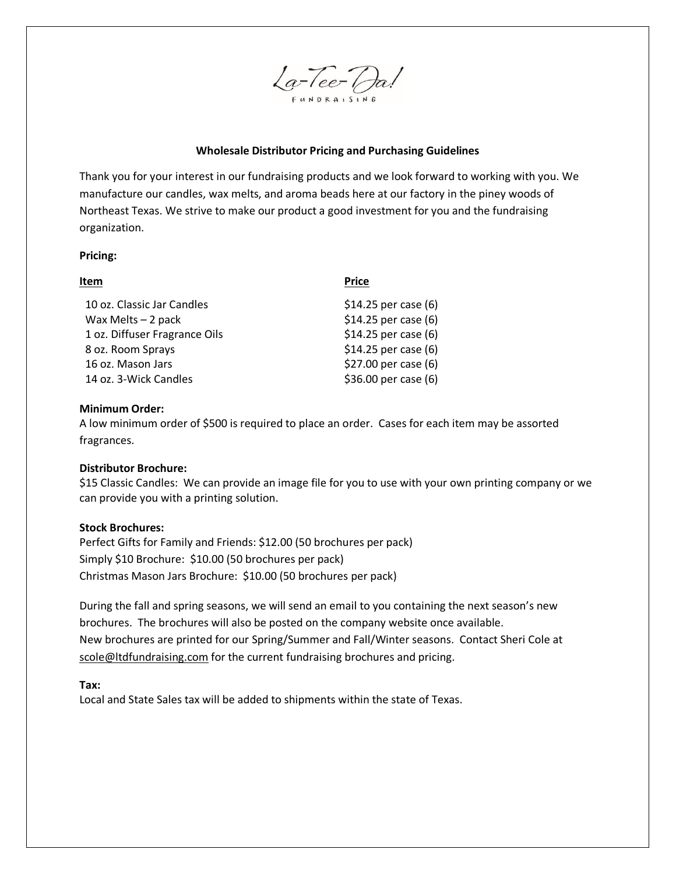

## **Wholesale Distributor Pricing and Purchasing Guidelines**

Thank you for your interest in our fundraising products and we look forward to working with you. We manufacture our candles, wax melts, and aroma beads here at our factory in the piney woods of Northeast Texas. We strive to make our product a good investment for you and the fundraising organization.

### **Pricing:**

| Item                          | <b>Price</b>          |
|-------------------------------|-----------------------|
| 10 oz. Classic Jar Candles    | $$14.25$ per case (6) |
| Wax Melts $-2$ pack           | $$14.25$ per case (6) |
| 1 oz. Diffuser Fragrance Oils | \$14.25 per case (6)  |
| 8 oz. Room Sprays             | \$14.25 per case (6)  |
| 16 oz. Mason Jars             | \$27.00 per case (6)  |
| 14 oz. 3-Wick Candles         | \$36.00 per case (6)  |

### **Minimum Order:**

A low minimum order of \$500 is required to place an order. Cases for each item may be assorted fragrances.

### **Distributor Brochure:**

\$15 Classic Candles: We can provide an image file for you to use with your own printing company or we can provide you with a printing solution.

### **Stock Brochures:**

Perfect Gifts for Family and Friends: \$12.00 (50 brochures per pack) Simply \$10 Brochure: \$10.00 (50 brochures per pack) Christmas Mason Jars Brochure: \$10.00 (50 brochures per pack)

During the fall and spring seasons, we will send an email to you containing the next season's new brochures. The brochures will also be posted on the company website once available. New brochures are printed for our Spring/Summer and Fall/Winter seasons. Contact Sheri Cole at scole@ltdfundraising.com for the current fundraising brochures and pricing.

**Tax:**

Local and State Sales tax will be added to shipments within the state of Texas.